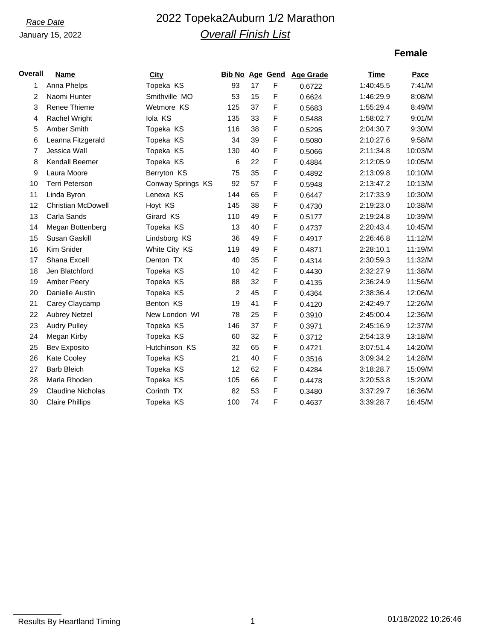### January 15, 2022

# *Race Date* 2022 Topeka2Auburn 1/2 Marathon *Overall Finish List*

## **Female**

| <b>Overall</b> | <b>Name</b>               | City              | <b>Bib No Age Gend</b> |    |             | <b>Age Grade</b> | Time      | Pace    |
|----------------|---------------------------|-------------------|------------------------|----|-------------|------------------|-----------|---------|
| 1              | Anna Phelps               | Topeka KS         | 93                     | 17 | $\mathsf F$ | 0.6722           | 1:40:45.5 | 7:41/M  |
| 2              | Naomi Hunter              | Smithville MO     | 53                     | 15 | F           | 0.6624           | 1:46:29.9 | 8:08/M  |
| 3              | Renee Thieme              | Wetmore KS        | 125                    | 37 | F           | 0.5683           | 1:55:29.4 | 8:49/M  |
| 4              | <b>Rachel Wright</b>      | lola KS           | 135                    | 33 | F           | 0.5488           | 1:58:02.7 | 9:01/M  |
| 5              | Amber Smith               | Topeka KS         | 116                    | 38 | F           | 0.5295           | 2:04:30.7 | 9:30/M  |
| 6              | Leanna Fitzgerald         | Topeka KS         | 34                     | 39 | F           | 0.5080           | 2:10:27.6 | 9:58/M  |
| 7              | Jessica Wall              | Topeka KS         | 130                    | 40 | F           | 0.5066           | 2:11:34.8 | 10:03/M |
| 8              | Kendall Beemer            | Topeka KS         | 6                      | 22 | F           | 0.4884           | 2:12:05.9 | 10:05/M |
| 9              | Laura Moore               | Berryton KS       | 75                     | 35 | F           | 0.4892           | 2:13:09.8 | 10:10/M |
| 10             | <b>Terri Peterson</b>     | Conway Springs KS | 92                     | 57 | F           | 0.5948           | 2:13:47.2 | 10:13/M |
| 11             | Linda Byron               | Lenexa KS         | 144                    | 65 | F           | 0.6447           | 2:17:33.9 | 10:30/M |
| 12             | <b>Christian McDowell</b> | Hoyt KS           | 145                    | 38 | F           | 0.4730           | 2:19:23.0 | 10:38/M |
| 13             | Carla Sands               | Girard KS         | 110                    | 49 | F           | 0.5177           | 2:19:24.8 | 10:39/M |
| 14             | Megan Bottenberg          | Topeka KS         | 13                     | 40 | F           | 0.4737           | 2:20:43.4 | 10:45/M |
| 15             | Susan Gaskill             | Lindsborg KS      | 36                     | 49 | F           | 0.4917           | 2:26:46.8 | 11:12/M |
| 16             | Kim Snider                | White City KS     | 119                    | 49 | F           | 0.4871           | 2:28:10.1 | 11:19/M |
| 17             | Shana Excell              | Denton TX         | 40                     | 35 | F           | 0.4314           | 2:30:59.3 | 11:32/M |
| 18             | Jen Blatchford            | Topeka KS         | 10                     | 42 | F           | 0.4430           | 2:32:27.9 | 11:38/M |
| 19             | Amber Peery               | Topeka KS         | 88                     | 32 | F           | 0.4135           | 2:36:24.9 | 11:56/M |
| 20             | Danielle Austin           | Topeka KS         | 2                      | 45 | F           | 0.4364           | 2:38:36.4 | 12:06/M |
| 21             | Carey Claycamp            | Benton KS         | 19                     | 41 | F           | 0.4120           | 2:42:49.7 | 12:26/M |
| 22             | <b>Aubrey Netzel</b>      | New London WI     | 78                     | 25 | F           | 0.3910           | 2:45:00.4 | 12:36/M |
| 23             | <b>Audry Pulley</b>       | Topeka KS         | 146                    | 37 | F           | 0.3971           | 2:45:16.9 | 12:37/M |
| 24             | Megan Kirby               | Topeka KS         | 60                     | 32 | F           | 0.3712           | 2:54:13.9 | 13:18/M |
| 25             | Bev Exposito              | Hutchinson KS     | 32                     | 65 | F           | 0.4721           | 3:07:51.4 | 14:20/M |
| 26             | Kate Cooley               | Topeka KS         | 21                     | 40 | F           | 0.3516           | 3:09:34.2 | 14:28/M |
| 27             | <b>Barb Bleich</b>        | Topeka KS         | 12                     | 62 | F           | 0.4284           | 3:18:28.7 | 15:09/M |
| 28             | Marla Rhoden              | Topeka KS         | 105                    | 66 | F           | 0.4478           | 3:20:53.8 | 15:20/M |
| 29             | <b>Claudine Nicholas</b>  | Corinth TX        | 82                     | 53 | F           | 0.3480           | 3:37:29.7 | 16:36/M |
| 30             | <b>Claire Phillips</b>    | Topeka KS         | 100                    | 74 | F           | 0.4637           | 3:39:28.7 | 16:45/M |

Results By Heartland Timing 1 01/18/2022 10:26:46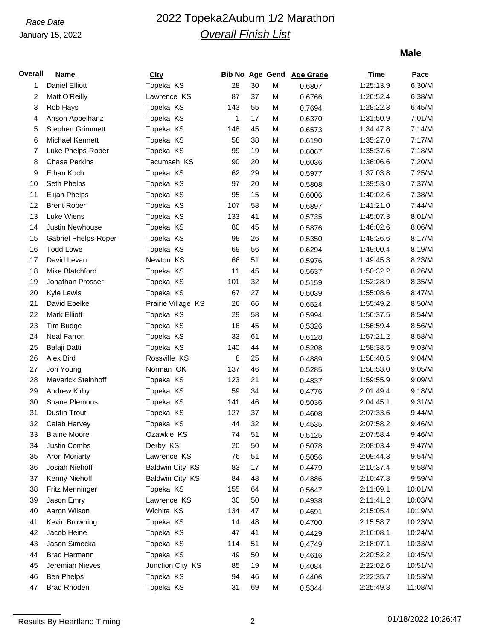## January 15, 2022

# *Race Date* 2022 Topeka2Auburn 1/2 Marathon *Overall Finish List*

## **Male**

| <u>Overall</u> | <b>Name</b>                 | <b>City</b>        |     |    |   | Bib No Age Gend Age Grade | Time      | <b>Pace</b> |
|----------------|-----------------------------|--------------------|-----|----|---|---------------------------|-----------|-------------|
| 1              | <b>Daniel Elliott</b>       | Topeka KS          | 28  | 30 | М | 0.6807                    | 1:25:13.9 | 6:30/M      |
| 2              | Matt O'Reilly               | Lawrence KS        | 87  | 37 | M | 0.6766                    | 1:26:52.4 | 6:38/M      |
| 3              | Rob Hays                    | Topeka KS          | 143 | 55 | M | 0.7694                    | 1:28:22.3 | 6:45/M      |
| 4              | Anson Appelhanz             | Topeka KS          | 1   | 17 | M | 0.6370                    | 1:31:50.9 | 7:01/M      |
| 5              | Stephen Grimmett            | Topeka KS          | 148 | 45 | M | 0.6573                    | 1:34:47.8 | 7:14/M      |
| 6              | Michael Kennett             | Topeka KS          | 58  | 38 | M | 0.6190                    | 1:35:27.0 | 7:17/M      |
| 7              | Luke Phelps-Roper           | Topeka KS          | 99  | 19 | M | 0.6067                    | 1:35:37.6 | 7:18/M      |
| 8              | <b>Chase Perkins</b>        | Tecumseh KS        | 90  | 20 | M | 0.6036                    | 1:36:06.6 | 7:20/M      |
| 9              | Ethan Koch                  | Topeka KS          | 62  | 29 | M | 0.5977                    | 1:37:03.8 | 7:25/M      |
| 10             | Seth Phelps                 | Topeka KS          | 97  | 20 | M | 0.5808                    | 1:39:53.0 | 7:37/M      |
| 11             | Elijah Phelps               | Topeka KS          | 95  | 15 | M | 0.6006                    | 1:40:02.6 | 7:38/M      |
| 12             | <b>Brent Roper</b>          | Topeka KS          | 107 | 58 | M | 0.6897                    | 1:41:21.0 | 7:44/M      |
| 13             | Luke Wiens                  | Topeka KS          | 133 | 41 | M | 0.5735                    | 1:45:07.3 | 8:01/M      |
| 14             | Justin Newhouse             | Topeka KS          | 80  | 45 | M | 0.5876                    | 1:46:02.6 | 8:06/M      |
| 15             | <b>Gabriel Phelps-Roper</b> | Topeka KS          | 98  | 26 | M | 0.5350                    | 1:48:26.6 | 8:17/M      |
| 16             | <b>Todd Lowe</b>            | Topeka KS          | 69  | 56 | M | 0.6294                    | 1:49:00.4 | 8:19/M      |
| 17             | David Levan                 | Newton KS          | 66  | 51 | M | 0.5976                    | 1:49:45.3 | 8:23/M      |
| 18             | Mike Blatchford             | Topeka KS          | 11  | 45 | M | 0.5637                    | 1:50:32.2 | 8:26/M      |
| 19             | Jonathan Prosser            | Topeka KS          | 101 | 32 | M | 0.5159                    | 1:52:28.9 | 8:35/M      |
| 20             | Kyle Lewis                  | Topeka KS          | 67  | 27 | M | 0.5039                    | 1:55:08.6 | 8:47/M      |
| 21             | David Ebelke                | Prairie Village KS | 26  | 66 | M | 0.6524                    | 1:55:49.2 | 8:50/M      |
| 22             | <b>Mark Elliott</b>         | Topeka KS          | 29  | 58 | M | 0.5994                    | 1:56:37.5 | 8:54/M      |
| 23             | Tim Budge                   | Topeka KS          | 16  | 45 | M | 0.5326                    | 1:56:59.4 | 8:56/M      |
| 24             | <b>Neal Farron</b>          | Topeka KS          | 33  | 61 | M | 0.6128                    | 1:57:21.2 | 8:58/M      |
| 25             | Balaji Datti                | Topeka KS          | 140 | 44 | M | 0.5208                    | 1:58:38.5 | 9:03/M      |
| 26             | Alex Bird                   | Rossville KS       | 8   | 25 | M | 0.4889                    | 1:58:40.5 | 9:04/M      |
| 27             | Jon Young                   | Norman OK          | 137 | 46 | M | 0.5285                    | 1:58:53.0 | 9:05/M      |
| 28             | Maverick Steinhoff          | Topeka KS          | 123 | 21 | M | 0.4837                    | 1:59:55.9 | 9:09/M      |
| 29             | Andrew Kirby                | Topeka KS          | 59  | 34 | M | 0.4776                    | 2:01:49.4 | 9:18/M      |
| 30             | <b>Shane Plemons</b>        | Topeka KS          | 141 | 46 | M | 0.5036                    | 2:04:45.1 | 9:31/M      |
| 31             | <b>Dustin Trout</b>         | Topeka KS          | 127 | 37 | M | 0.4608                    | 2:07:33.6 | 9:44/M      |
| 32             | Caleb Harvey                | Topeka KS          | 44  | 32 | M | 0.4535                    | 2:07:58.2 | 9:46/M      |
| 33             | <b>Blaine Moore</b>         | Ozawkie KS         | 74  | 51 | M | 0.5125                    | 2:07:58.4 | 9:46/M      |
| 34             | Justin Combs                | Derby KS           | 20  | 50 | M | 0.5078                    | 2:08:03.4 | 9:47/M      |
| 35             | <b>Aron Moriarty</b>        | Lawrence KS        | 76  | 51 | M | 0.5056                    | 2:09:44.3 | 9:54/M      |
| 36             | Josiah Niehoff              | Baldwin City KS    | 83  | 17 | M | 0.4479                    | 2:10:37.4 | 9:58/M      |
| 37             | Kenny Niehoff               | Baldwin City KS    | 84  | 48 | M | 0.4886                    | 2:10:47.8 | 9:59/M      |
| 38             | Fritz Menninger             | Topeka KS          | 155 | 64 | M | 0.5647                    | 2:11:09.1 | 10:01/M     |
| 39             | Jason Emry                  | Lawrence KS        | 30  | 50 | M | 0.4938                    | 2:11:41.2 | 10:03/M     |
| 40             | Aaron Wilson                | Wichita KS         | 134 | 47 | M | 0.4691                    | 2:15:05.4 | 10:19/M     |
| 41             | Kevin Browning              | Topeka KS          | 14  | 48 | M | 0.4700                    | 2:15:58.7 | 10:23/M     |
| 42             | Jacob Heine                 | Topeka KS          | 47  | 41 | M | 0.4429                    | 2:16:08.1 | 10:24/M     |
| 43             | Jason Simecka               | Topeka KS          | 114 | 51 | M | 0.4749                    | 2:18:07.1 | 10:33/M     |
| 44             | <b>Brad Hermann</b>         | Topeka KS          | 49  | 50 | M | 0.4616                    | 2:20:52.2 | 10:45/M     |
| 45             | Jeremiah Nieves             | Junction City KS   | 85  | 19 | M | 0.4084                    | 2:22:02.6 | 10:51/M     |
| 46             | <b>Ben Phelps</b>           | Topeka KS          | 94  | 46 | M | 0.4406                    | 2:22:35.7 | 10:53/M     |
| 47             | <b>Brad Rhoden</b>          | Topeka KS          | 31  | 69 | М | 0.5344                    | 2:25:49.8 | 11:08/M     |